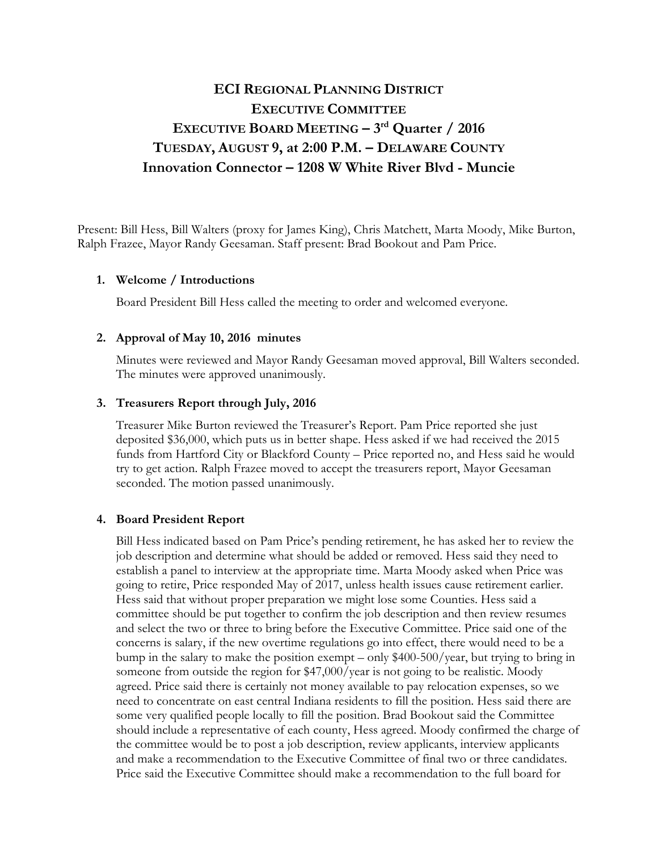# **ECI REGIONAL PLANNING DISTRICT EXECUTIVE COMMITTEE EXECUTIVE BOARD MEETING – 3rd Quarter / 2016 TUESDAY, AUGUST 9, at 2:00 P.M. – DELAWARE COUNTY Innovation Connector – 1208 W White River Blvd - Muncie**

Present: Bill Hess, Bill Walters (proxy for James King), Chris Matchett, Marta Moody, Mike Burton, Ralph Frazee, Mayor Randy Geesaman. Staff present: Brad Bookout and Pam Price.

## **1. Welcome / Introductions**

Board President Bill Hess called the meeting to order and welcomed everyone.

### **2. Approval of May 10, 2016 minutes**

Minutes were reviewed and Mayor Randy Geesaman moved approval, Bill Walters seconded. The minutes were approved unanimously.

#### **3. Treasurers Report through July, 2016**

Treasurer Mike Burton reviewed the Treasurer's Report. Pam Price reported she just deposited \$36,000, which puts us in better shape. Hess asked if we had received the 2015 funds from Hartford City or Blackford County – Price reported no, and Hess said he would try to get action. Ralph Frazee moved to accept the treasurers report, Mayor Geesaman seconded. The motion passed unanimously.

#### **4. Board President Report**

Bill Hess indicated based on Pam Price's pending retirement, he has asked her to review the job description and determine what should be added or removed. Hess said they need to establish a panel to interview at the appropriate time. Marta Moody asked when Price was going to retire, Price responded May of 2017, unless health issues cause retirement earlier. Hess said that without proper preparation we might lose some Counties. Hess said a committee should be put together to confirm the job description and then review resumes and select the two or three to bring before the Executive Committee. Price said one of the concerns is salary, if the new overtime regulations go into effect, there would need to be a bump in the salary to make the position exempt – only \$400-500/year, but trying to bring in someone from outside the region for \$47,000/year is not going to be realistic. Moody agreed. Price said there is certainly not money available to pay relocation expenses, so we need to concentrate on east central Indiana residents to fill the position. Hess said there are some very qualified people locally to fill the position. Brad Bookout said the Committee should include a representative of each county, Hess agreed. Moody confirmed the charge of the committee would be to post a job description, review applicants, interview applicants and make a recommendation to the Executive Committee of final two or three candidates. Price said the Executive Committee should make a recommendation to the full board for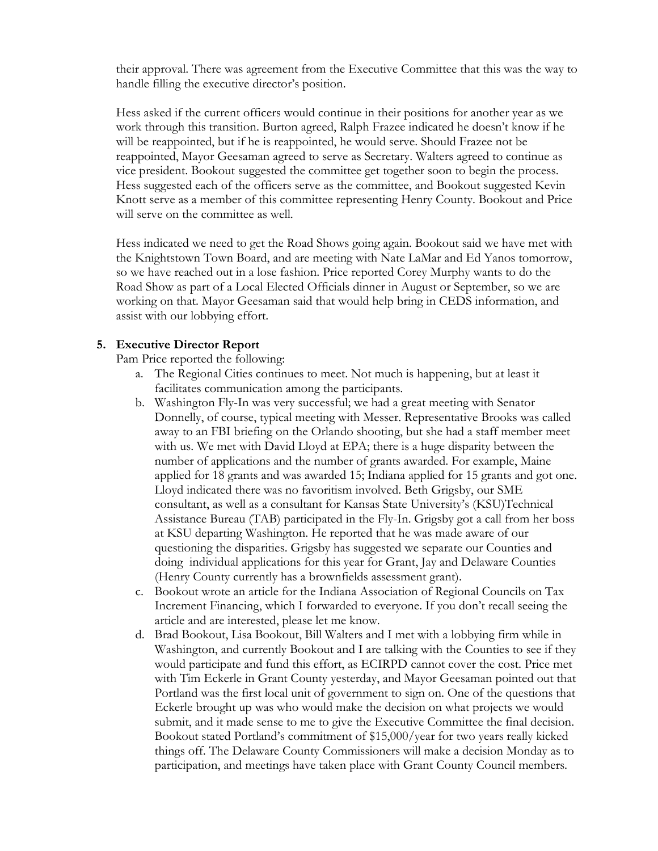their approval. There was agreement from the Executive Committee that this was the way to handle filling the executive director's position.

Hess asked if the current officers would continue in their positions for another year as we work through this transition. Burton agreed, Ralph Frazee indicated he doesn't know if he will be reappointed, but if he is reappointed, he would serve. Should Frazee not be reappointed, Mayor Geesaman agreed to serve as Secretary. Walters agreed to continue as vice president. Bookout suggested the committee get together soon to begin the process. Hess suggested each of the officers serve as the committee, and Bookout suggested Kevin Knott serve as a member of this committee representing Henry County. Bookout and Price will serve on the committee as well.

Hess indicated we need to get the Road Shows going again. Bookout said we have met with the Knightstown Town Board, and are meeting with Nate LaMar and Ed Yanos tomorrow, so we have reached out in a lose fashion. Price reported Corey Murphy wants to do the Road Show as part of a Local Elected Officials dinner in August or September, so we are working on that. Mayor Geesaman said that would help bring in CEDS information, and assist with our lobbying effort.

## **5. Executive Director Report**

Pam Price reported the following:

- a. The Regional Cities continues to meet. Not much is happening, but at least it facilitates communication among the participants.
- b. Washington Fly-In was very successful; we had a great meeting with Senator Donnelly, of course, typical meeting with Messer. Representative Brooks was called away to an FBI briefing on the Orlando shooting, but she had a staff member meet with us. We met with David Lloyd at EPA; there is a huge disparity between the number of applications and the number of grants awarded. For example, Maine applied for 18 grants and was awarded 15; Indiana applied for 15 grants and got one. Lloyd indicated there was no favoritism involved. Beth Grigsby, our SME consultant, as well as a consultant for Kansas State University's (KSU)Technical Assistance Bureau (TAB) participated in the Fly-In. Grigsby got a call from her boss at KSU departing Washington. He reported that he was made aware of our questioning the disparities. Grigsby has suggested we separate our Counties and doing individual applications for this year for Grant, Jay and Delaware Counties (Henry County currently has a brownfields assessment grant).
- c. Bookout wrote an article for the Indiana Association of Regional Councils on Tax Increment Financing, which I forwarded to everyone. If you don't recall seeing the article and are interested, please let me know.
- d. Brad Bookout, Lisa Bookout, Bill Walters and I met with a lobbying firm while in Washington, and currently Bookout and I are talking with the Counties to see if they would participate and fund this effort, as ECIRPD cannot cover the cost. Price met with Tim Eckerle in Grant County yesterday, and Mayor Geesaman pointed out that Portland was the first local unit of government to sign on. One of the questions that Eckerle brought up was who would make the decision on what projects we would submit, and it made sense to me to give the Executive Committee the final decision. Bookout stated Portland's commitment of \$15,000/year for two years really kicked things off. The Delaware County Commissioners will make a decision Monday as to participation, and meetings have taken place with Grant County Council members.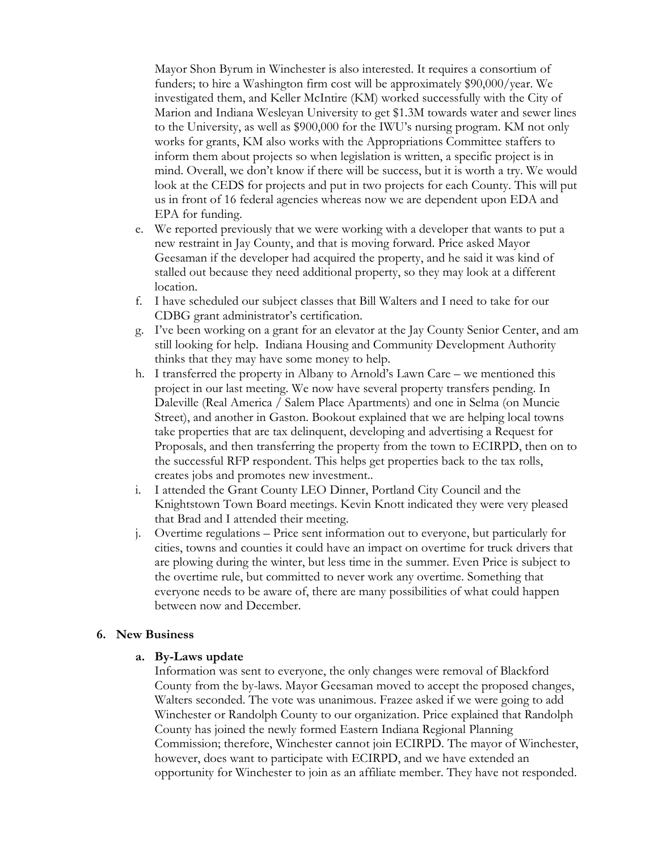Mayor Shon Byrum in Winchester is also interested. It requires a consortium of funders; to hire a Washington firm cost will be approximately \$90,000/year. We investigated them, and Keller McIntire (KM) worked successfully with the City of Marion and Indiana Wesleyan University to get \$1.3M towards water and sewer lines to the University, as well as \$900,000 for the IWU's nursing program. KM not only works for grants, KM also works with the Appropriations Committee staffers to inform them about projects so when legislation is written, a specific project is in mind. Overall, we don't know if there will be success, but it is worth a try. We would look at the CEDS for projects and put in two projects for each County. This will put us in front of 16 federal agencies whereas now we are dependent upon EDA and EPA for funding.

- e. We reported previously that we were working with a developer that wants to put a new restraint in Jay County, and that is moving forward. Price asked Mayor Geesaman if the developer had acquired the property, and he said it was kind of stalled out because they need additional property, so they may look at a different location.
- f. I have scheduled our subject classes that Bill Walters and I need to take for our CDBG grant administrator's certification.
- g. I've been working on a grant for an elevator at the Jay County Senior Center, and am still looking for help. Indiana Housing and Community Development Authority thinks that they may have some money to help.
- h. I transferred the property in Albany to Arnold's Lawn Care we mentioned this project in our last meeting. We now have several property transfers pending. In Daleville (Real America / Salem Place Apartments) and one in Selma (on Muncie Street), and another in Gaston. Bookout explained that we are helping local towns take properties that are tax delinquent, developing and advertising a Request for Proposals, and then transferring the property from the town to ECIRPD, then on to the successful RFP respondent. This helps get properties back to the tax rolls, creates jobs and promotes new investment..
- i. I attended the Grant County LEO Dinner, Portland City Council and the Knightstown Town Board meetings. Kevin Knott indicated they were very pleased that Brad and I attended their meeting.
- j. Overtime regulations Price sent information out to everyone, but particularly for cities, towns and counties it could have an impact on overtime for truck drivers that are plowing during the winter, but less time in the summer. Even Price is subject to the overtime rule, but committed to never work any overtime. Something that everyone needs to be aware of, there are many possibilities of what could happen between now and December.

## **6. New Business**

#### **a. By-Laws update**

Information was sent to everyone, the only changes were removal of Blackford County from the by-laws. Mayor Geesaman moved to accept the proposed changes, Walters seconded. The vote was unanimous. Frazee asked if we were going to add Winchester or Randolph County to our organization. Price explained that Randolph County has joined the newly formed Eastern Indiana Regional Planning Commission; therefore, Winchester cannot join ECIRPD. The mayor of Winchester, however, does want to participate with ECIRPD, and we have extended an opportunity for Winchester to join as an affiliate member. They have not responded.